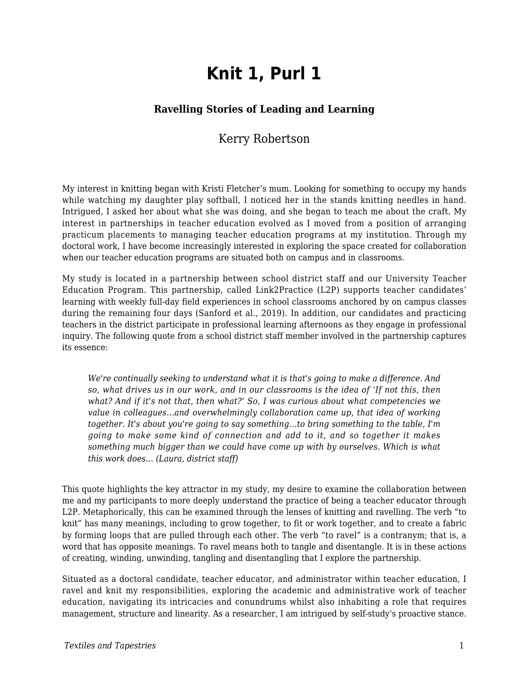# **Knit 1, Purl 1**

#### **Ravelling Stories of Leading and Learning**

### Kerry Robertson

My interest in knitting began with Kristi Fletcher's mum. Looking for something to occupy my hands while watching my daughter play softball, I noticed her in the stands knitting needles in hand. Intrigued, I asked her about what she was doing, and she began to teach me about the craft. My interest in partnerships in teacher education evolved as I moved from a position of arranging practicum placements to managing teacher education programs at my institution. Through my doctoral work, I have become increasingly interested in exploring the space created for collaboration when our teacher education programs are situated both on campus and in classrooms.

My study is located in a partnership between school district staff and our University Teacher Education Program. This partnership, called Link2Practice (L2P) supports teacher candidates' learning with weekly full-day field experiences in school classrooms anchored by on campus classes during the remaining four days (Sanford et al., 2019). In addition, our candidates and practicing teachers in the district participate in professional learning afternoons as they engage in professional inquiry. The following quote from a school district staff member involved in the partnership captures its essence:

*We're continually seeking to understand what it is that's going to make a difference. And so, what drives us in our work, and in our classrooms is the idea of 'If not this, then what? And if it's not that, then what?' So, I was curious about what competencies we value in colleagues…and overwhelmingly collaboration came up, that idea of working together. It's about you're going to say something…to bring something to the table, I'm going to make some kind of connection and add to it, and so together it makes something much bigger than we could have come up with by ourselves. Which is what this work does… (Laura, district staff)*

This quote highlights the key attractor in my study, my desire to examine the collaboration between me and my participants to more deeply understand the practice of being a teacher educator through L2P. Metaphorically, this can be examined through the lenses of knitting and ravelling. The verb "to knit" has many meanings, including to grow together, to fit or work together, and to create a fabric by forming loops that are pulled through each other. The verb "to ravel" is a contranym; that is, a word that has opposite meanings. To ravel means both to tangle and disentangle. It is in these actions of creating, winding, unwinding, tangling and disentangling that I explore the partnership.

Situated as a doctoral candidate, teacher educator, and administrator within teacher education, I ravel and knit my responsibilities, exploring the academic and administrative work of teacher education, navigating its intricacies and conundrums whilst also inhabiting a role that requires management, structure and linearity. As a researcher, I am intrigued by self-study's proactive stance.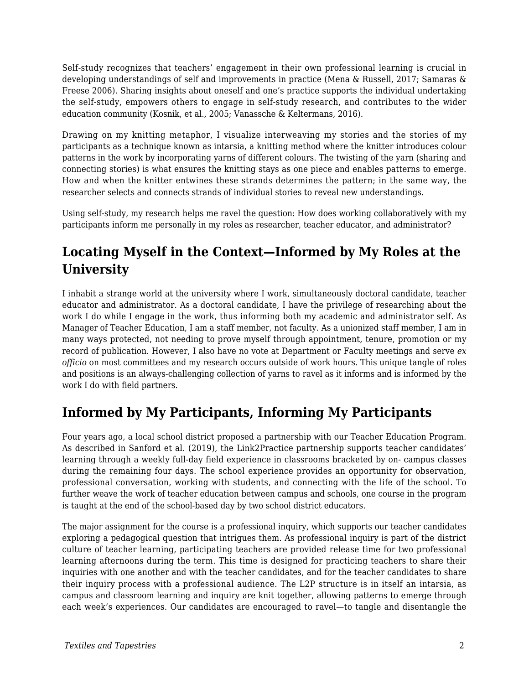Self-study recognizes that teachers' engagement in their own professional learning is crucial in developing understandings of self and improvements in practice (Mena & Russell, 2017; Samaras & Freese 2006). Sharing insights about oneself and one's practice supports the individual undertaking the self-study, empowers others to engage in self-study research, and contributes to the wider education community (Kosnik, et al., 2005; Vanassche & Keltermans, 2016).

Drawing on my knitting metaphor, I visualize interweaving my stories and the stories of my participants as a technique known as intarsia, a knitting method where the knitter introduces colour patterns in the work by incorporating yarns of different colours. The twisting of the yarn (sharing and connecting stories) is what ensures the knitting stays as one piece and enables patterns to emerge. How and when the knitter entwines these strands determines the pattern; in the same way, the researcher selects and connects strands of individual stories to reveal new understandings.

Using self-study, my research helps me ravel the question: How does working collaboratively with my participants inform me personally in my roles as researcher, teacher educator, and administrator?

# **Locating Myself in the Context—Informed by My Roles at the University**

I inhabit a strange world at the university where I work, simultaneously doctoral candidate, teacher educator and administrator. As a doctoral candidate, I have the privilege of researching about the work I do while I engage in the work, thus informing both my academic and administrator self. As Manager of Teacher Education, I am a staff member, not faculty. As a unionized staff member, I am in many ways protected, not needing to prove myself through appointment, tenure, promotion or my record of publication. However, I also have no vote at Department or Faculty meetings and serve *ex officio* on most committees and my research occurs outside of work hours. This unique tangle of roles and positions is an always-challenging collection of yarns to ravel as it informs and is informed by the work I do with field partners.

### **Informed by My Participants, Informing My Participants**

Four years ago, a local school district proposed a partnership with our Teacher Education Program. As described in Sanford et al. (2019), the Link2Practice partnership supports teacher candidates' learning through a weekly full-day field experience in classrooms bracketed by on- campus classes during the remaining four days. The school experience provides an opportunity for observation, professional conversation, working with students, and connecting with the life of the school. To further weave the work of teacher education between campus and schools, one course in the program is taught at the end of the school-based day by two school district educators.

The major assignment for the course is a professional inquiry, which supports our teacher candidates exploring a pedagogical question that intrigues them. As professional inquiry is part of the district culture of teacher learning, participating teachers are provided release time for two professional learning afternoons during the term. This time is designed for practicing teachers to share their inquiries with one another and with the teacher candidates, and for the teacher candidates to share their inquiry process with a professional audience. The L2P structure is in itself an intarsia, as campus and classroom learning and inquiry are knit together, allowing patterns to emerge through each week's experiences. Our candidates are encouraged to ravel—to tangle and disentangle the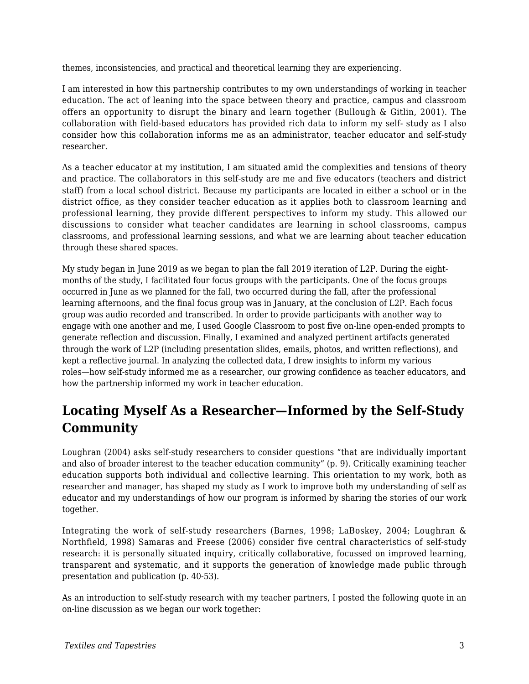themes, inconsistencies, and practical and theoretical learning they are experiencing.

I am interested in how this partnership contributes to my own understandings of working in teacher education. The act of leaning into the space between theory and practice, campus and classroom offers an opportunity to disrupt the binary and learn together (Bullough & Gitlin, 2001). The collaboration with field-based educators has provided rich data to inform my self- study as I also consider how this collaboration informs me as an administrator, teacher educator and self-study researcher.

As a teacher educator at my institution, I am situated amid the complexities and tensions of theory and practice. The collaborators in this self-study are me and five educators (teachers and district staff) from a local school district. Because my participants are located in either a school or in the district office, as they consider teacher education as it applies both to classroom learning and professional learning, they provide different perspectives to inform my study. This allowed our discussions to consider what teacher candidates are learning in school classrooms, campus classrooms, and professional learning sessions, and what we are learning about teacher education through these shared spaces.

My study began in June 2019 as we began to plan the fall 2019 iteration of L2P. During the eightmonths of the study, I facilitated four focus groups with the participants. One of the focus groups occurred in June as we planned for the fall, two occurred during the fall, after the professional learning afternoons, and the final focus group was in January, at the conclusion of L2P. Each focus group was audio recorded and transcribed. In order to provide participants with another way to engage with one another and me, I used Google Classroom to post five on-line open-ended prompts to generate reflection and discussion. Finally, I examined and analyzed pertinent artifacts generated through the work of L2P (including presentation slides, emails, photos, and written reflections), and kept a reflective journal. In analyzing the collected data, I drew insights to inform my various roles—how self-study informed me as a researcher, our growing confidence as teacher educators, and how the partnership informed my work in teacher education.

# **Locating Myself As a Researcher—Informed by the Self-Study Community**

Loughran (2004) asks self-study researchers to consider questions "that are individually important and also of broader interest to the teacher education community" (p. 9). Critically examining teacher education supports both individual and collective learning. This orientation to my work, both as researcher and manager, has shaped my study as I work to improve both my understanding of self as educator and my understandings of how our program is informed by sharing the stories of our work together.

Integrating the work of self-study researchers (Barnes, 1998; LaBoskey, 2004; Loughran & Northfield, 1998) Samaras and Freese (2006) consider five central characteristics of self-study research: it is personally situated inquiry, critically collaborative, focussed on improved learning, transparent and systematic, and it supports the generation of knowledge made public through presentation and publication (p. 40-53).

As an introduction to self-study research with my teacher partners, I posted the following quote in an on-line discussion as we began our work together: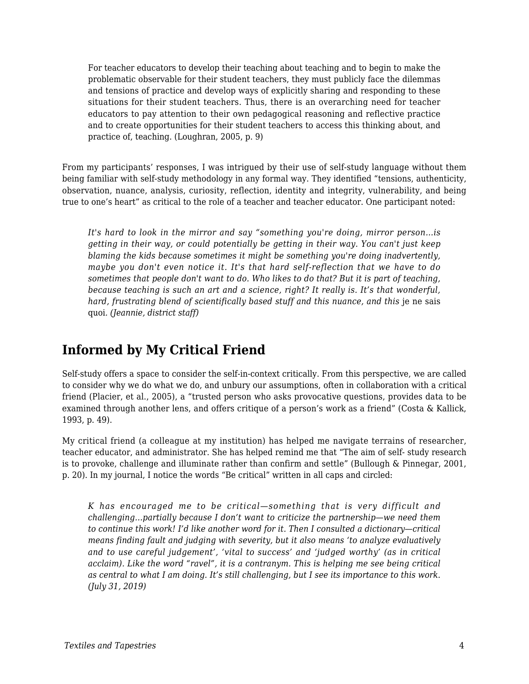For teacher educators to develop their teaching about teaching and to begin to make the problematic observable for their student teachers, they must publicly face the dilemmas and tensions of practice and develop ways of explicitly sharing and responding to these situations for their student teachers. Thus, there is an overarching need for teacher educators to pay attention to their own pedagogical reasoning and reflective practice and to create opportunities for their student teachers to access this thinking about, and practice of, teaching. (Loughran, 2005, p. 9)

From my participants' responses, I was intrigued by their use of self-study language without them being familiar with self-study methodology in any formal way. They identified "tensions, authenticity, observation, nuance, analysis, curiosity, reflection, identity and integrity, vulnerability, and being true to one's heart" as critical to the role of a teacher and teacher educator. One participant noted:

*It's hard to look in the mirror and say "something you're doing, mirror person…is getting in their way, or could potentially be getting in their way. You can't just keep blaming the kids because sometimes it might be something you're doing inadvertently, maybe you don't even notice it. It's that hard self-reflection that we have to do sometimes that people don't want to do. Who likes to do that? But it is part of teaching, because teaching is such an art and a science, right? It really is. It's that wonderful, hard, frustrating blend of scientifically based stuff and this nuance, and this je ne sais* quoi*. (Jeannie, district staff)*

## **Informed by My Critical Friend**

Self-study offers a space to consider the self-in-context critically. From this perspective, we are called to consider why we do what we do, and unbury our assumptions, often in collaboration with a critical friend (Placier, et al., 2005), a "trusted person who asks provocative questions, provides data to be examined through another lens, and offers critique of a person's work as a friend" (Costa & Kallick, 1993, p. 49).

My critical friend (a colleague at my institution) has helped me navigate terrains of researcher, teacher educator, and administrator. She has helped remind me that "The aim of self- study research is to provoke, challenge and illuminate rather than confirm and settle" (Bullough & Pinnegar, 2001, p. 20). In my journal, I notice the words "Be critical" written in all caps and circled:

*K has encouraged me to be critical—something that is very difficult and challenging…partially because I don't want to criticize the partnership—we need them to continue this work! I'd like another word for it. Then I consulted a dictionary—critical means finding fault and judging with severity, but it also means 'to analyze evaluatively and to use careful judgement', 'vital to success' and 'judged worthy' (as in critical acclaim). Like the word "ravel", it is a contranym. This is helping me see being critical as central to what I am doing. It's still challenging, but I see its importance to this work. (July 31, 2019)*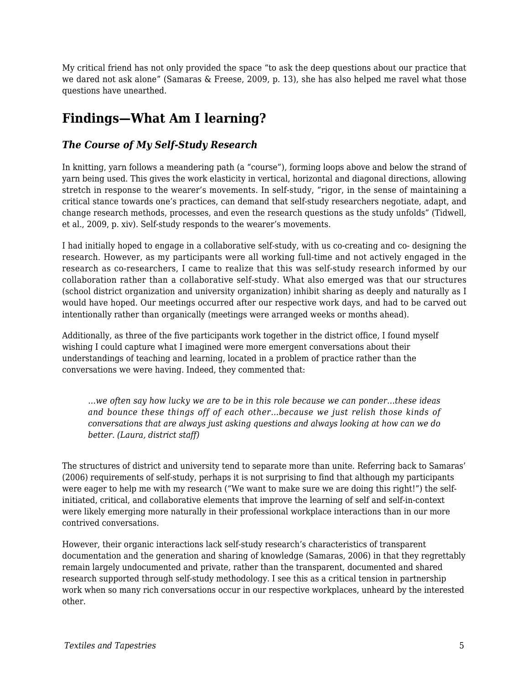My critical friend has not only provided the space "to ask the deep questions about our practice that we dared not ask alone" (Samaras & Freese, 2009, p. 13), she has also helped me ravel what those questions have unearthed.

# **Findings—What Am I learning?**

#### *The Course of My Self-Study Research*

In knitting, yarn follows a meandering path (a "course"), forming loops above and below the strand of yarn being used. This gives the work elasticity in vertical, horizontal and diagonal directions, allowing stretch in response to the wearer's movements. In self-study, "rigor, in the sense of maintaining a critical stance towards one's practices, can demand that self-study researchers negotiate, adapt, and change research methods, processes, and even the research questions as the study unfolds" (Tidwell, et al., 2009, p. xiv). Self-study responds to the wearer's movements.

I had initially hoped to engage in a collaborative self-study, with us co-creating and co- designing the research. However, as my participants were all working full-time and not actively engaged in the research as co-researchers, I came to realize that this was self-study research informed by our collaboration rather than a collaborative self-study. What also emerged was that our structures (school district organization and university organization) inhibit sharing as deeply and naturally as I would have hoped. Our meetings occurred after our respective work days, and had to be carved out intentionally rather than organically (meetings were arranged weeks or months ahead).

Additionally, as three of the five participants work together in the district office, I found myself wishing I could capture what I imagined were more emergent conversations about their understandings of teaching and learning, located in a problem of practice rather than the conversations we were having. Indeed, they commented that:

*…we often say how lucky we are to be in this role because we can ponder…these ideas and bounce these things off of each other…because we just relish those kinds of conversations that are always just asking questions and always looking at how can we do better. (Laura, district staff)*

The structures of district and university tend to separate more than unite. Referring back to Samaras' (2006) requirements of self-study, perhaps it is not surprising to find that although my participants were eager to help me with my research ("We want to make sure we are doing this right!") the selfinitiated, critical, and collaborative elements that improve the learning of self and self-in-context were likely emerging more naturally in their professional workplace interactions than in our more contrived conversations.

However, their organic interactions lack self-study research's characteristics of transparent documentation and the generation and sharing of knowledge (Samaras, 2006) in that they regrettably remain largely undocumented and private, rather than the transparent, documented and shared research supported through self-study methodology. I see this as a critical tension in partnership work when so many rich conversations occur in our respective workplaces, unheard by the interested other.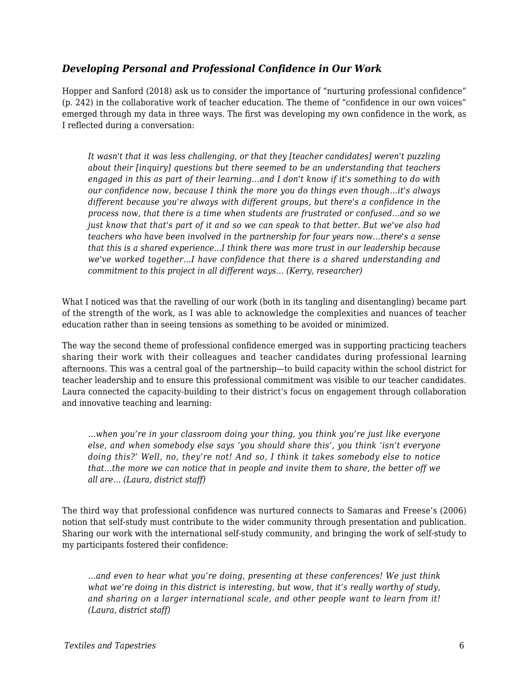#### *Developing Personal and Professional Confidence in Our Work*

Hopper and Sanford (2018) ask us to consider the importance of "nurturing professional confidence" (p. 242) in the collaborative work of teacher education. The theme of "confidence in our own voices" emerged through my data in three ways. The first was developing my own confidence in the work, as I reflected during a conversation:

*It wasn't that it was less challenging, or that they [teacher candidates] weren't puzzling about their [inquiry] questions but there seemed to be an understanding that teachers engaged in this as part of their learning…and I don't know if it's something to do with our confidence now, because I think the more you do things even though…it's always different because you're always with different groups, but there's a confidence in the process now, that there is a time when students are frustrated or confused…and so we just know that that's part of it and so we can speak to that better. But we've also had teachers who have been involved in the partnership for four years now…there's a sense that this is a shared experience...I think there was more trust in our leadership because we've worked together…I have confidence that there is a shared understanding and commitment to this project in all different ways… (Kerry, researcher)*

What I noticed was that the ravelling of our work (both in its tangling and disentangling) became part of the strength of the work, as I was able to acknowledge the complexities and nuances of teacher education rather than in seeing tensions as something to be avoided or minimized.

The way the second theme of professional confidence emerged was in supporting practicing teachers sharing their work with their colleagues and teacher candidates during professional learning afternoons. This was a central goal of the partnership—to build capacity within the school district for teacher leadership and to ensure this professional commitment was visible to our teacher candidates. Laura connected the capacity-building to their district's focus on engagement through collaboration and innovative teaching and learning:

*…when you're in your classroom doing your thing, you think you're just like everyone else, and when somebody else says 'you should share this', you think 'isn't everyone doing this?' Well, no, they're not! And so, I think it takes somebody else to notice that…the more we can notice that in people and invite them to share, the better off we all are… (Laura, district staff)*

The third way that professional confidence was nurtured connects to Samaras and Freese's (2006) notion that self-study must contribute to the wider community through presentation and publication. Sharing our work with the international self-study community, and bringing the work of self-study to my participants fostered their confidence:

*…and even to hear what you're doing, presenting at these conferences! We just think what we're doing in this district is interesting, but wow, that it's really worthy of study, and sharing on a larger international scale, and other people want to learn from it! (Laura, district staff)*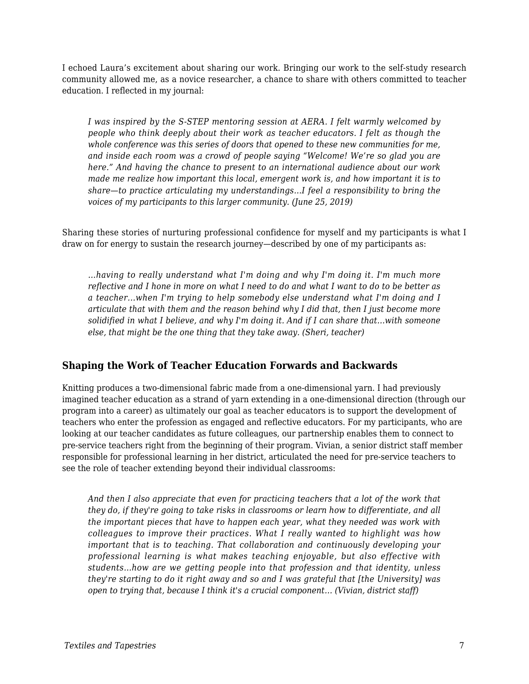I echoed Laura's excitement about sharing our work. Bringing our work to the self-study research community allowed me, as a novice researcher, a chance to share with others committed to teacher education. I reflected in my journal:

*I was inspired by the S-STEP mentoring session at AERA. I felt warmly welcomed by people who think deeply about their work as teacher educators. I felt as though the whole conference was this series of doors that opened to these new communities for me, and inside each room was a crowd of people saying "Welcome! We're so glad you are here." And having the chance to present to an international audience about our work made me realize how important this local, emergent work is, and how important it is to share—to practice articulating my understandings…I feel a responsibility to bring the voices of my participants to this larger community. (June 25, 2019)*

Sharing these stories of nurturing professional confidence for myself and my participants is what I draw on for energy to sustain the research journey—described by one of my participants as:

*…having to really understand what I'm doing and why I'm doing it. I'm much more reflective and I hone in more on what I need to do and what I want to do to be better as a teacher...when I'm trying to help somebody else understand what I'm doing and I articulate that with them and the reason behind why I did that, then I just become more solidified in what I believe, and why I'm doing it. And if I can share that…with someone else, that might be the one thing that they take away. (Sheri, teacher)*

#### **Shaping the Work of Teacher Education Forwards and Backwards**

Knitting produces a two-dimensional fabric made from a one-dimensional yarn. I had previously imagined teacher education as a strand of yarn extending in a one-dimensional direction (through our program into a career) as ultimately our goal as teacher educators is to support the development of teachers who enter the profession as engaged and reflective educators. For my participants, who are looking at our teacher candidates as future colleagues, our partnership enables them to connect to pre-service teachers right from the beginning of their program. Vivian, a senior district staff member responsible for professional learning in her district, articulated the need for pre-service teachers to see the role of teacher extending beyond their individual classrooms:

*And then I also appreciate that even for practicing teachers that a lot of the work that they do, if they're going to take risks in classrooms or learn how to differentiate, and all the important pieces that have to happen each year, what they needed was work with colleagues to improve their practices. What I really wanted to highlight was how important that is to teaching. That collaboration and continuously developing your professional learning is what makes teaching enjoyable, but also effective with students…how are we getting people into that profession and that identity, unless they're starting to do it right away and so and I was grateful that [the University] was open to trying that, because I think it's a crucial component… (Vivian, district staff)*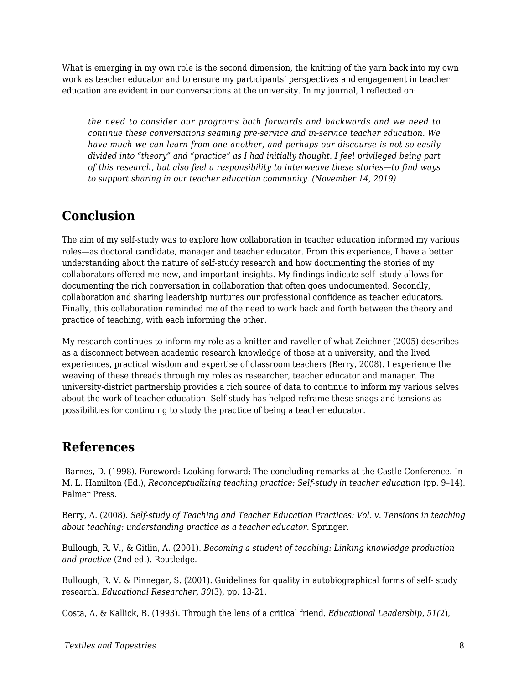What is emerging in my own role is the second dimension, the knitting of the yarn back into my own work as teacher educator and to ensure my participants' perspectives and engagement in teacher education are evident in our conversations at the university. In my journal, I reflected on:

*the need to consider our programs both forwards and backwards and we need to continue these conversations seaming pre-service and in-service teacher education. We have much we can learn from one another, and perhaps our discourse is not so easily divided into "theory" and "practice" as I had initially thought. I feel privileged being part of this research, but also feel a responsibility to interweave these stories—to find ways to support sharing in our teacher education community. (November 14, 2019)*

### **Conclusion**

The aim of my self-study was to explore how collaboration in teacher education informed my various roles—as doctoral candidate, manager and teacher educator. From this experience, I have a better understanding about the nature of self-study research and how documenting the stories of my collaborators offered me new, and important insights. My findings indicate self- study allows for documenting the rich conversation in collaboration that often goes undocumented. Secondly, collaboration and sharing leadership nurtures our professional confidence as teacher educators. Finally, this collaboration reminded me of the need to work back and forth between the theory and practice of teaching, with each informing the other.

My research continues to inform my role as a knitter and raveller of what Zeichner (2005) describes as a disconnect between academic research knowledge of those at a university, and the lived experiences, practical wisdom and expertise of classroom teachers (Berry, 2008). I experience the weaving of these threads through my roles as researcher, teacher educator and manager. The university-district partnership provides a rich source of data to continue to inform my various selves about the work of teacher education. Self-study has helped reframe these snags and tensions as possibilities for continuing to study the practice of being a teacher educator.

### **References**

Barnes, D. (1998). Foreword: Looking forward: The concluding remarks at the Castle Conference. In M. L. Hamilton (Ed.), *Reconceptualizing teaching practice: Self-study in teacher education* (pp. 9-14). Falmer Press.

Berry, A. (2008). *Self-study of Teaching and Teacher Education Practices: Vol. v. Tensions in teaching about teaching: understanding practice as a teacher educator*. Springer.

Bullough, R. V., & Gitlin, A. (2001). *Becoming a student of teaching: Linking knowledge production and practice* (2nd ed.). Routledge.

Bullough, R. V. & Pinnegar, S. (2001). Guidelines for quality in autobiographical forms of self- study research. *Educational Researcher, 30*(3), pp. 13-21.

Costa, A. & Kallick, B. (1993). Through the lens of a critical friend. *Educational Leadership, 51(*2),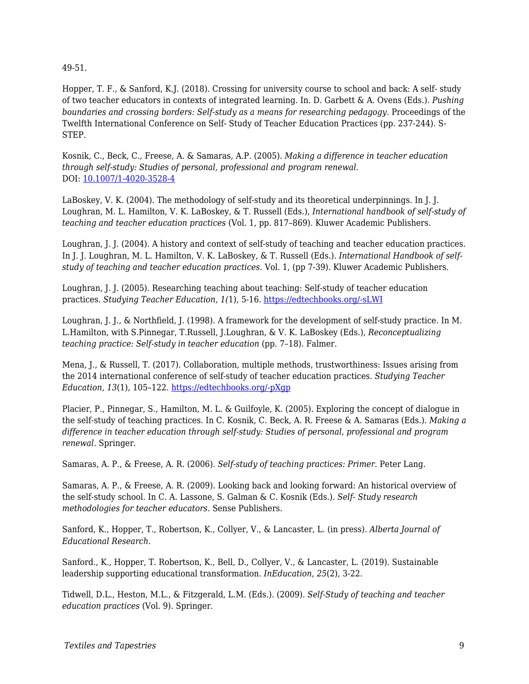49-51.

Hopper, T. F., & Sanford, K.J. (2018). Crossing for university course to school and back: A self- study of two teacher educators in contexts of integrated learning. In. D. Garbett & A. Ovens (Eds.). *Pushing boundaries and crossing borders: Self-study as a means for researching pedagogy.* Proceedings of the Twelfth International Conference on Self- Study of Teacher Education Practices (pp. 237-244). S-STEP.

Kosnik, C., Beck, C., Freese, A. & Samaras, A.P. (2005). *Making a difference in teacher education through self-study: Studies of personal, professional and program renewal*. DOI: [10.1007/1-4020-3528-4](https://www.researchgate.net/deref/http%3A%2F%2Fdx.doi.org%2F10.1007%2F1-4020-3528-4)

LaBoskey, V. K. (2004). The methodology of self-study and its theoretical underpinnings. In J. J. Loughran, M. L. Hamilton, V. K. LaBoskey, & T. Russell (Eds.), *International handbook of self-study of teaching and teacher education practices* (Vol. 1, pp. 817–869). Kluwer Academic Publishers.

Loughran, J. J. (2004). A history and context of self-study of teaching and teacher education practices. In J. J. Loughran, M. L. Hamilton, V. K. LaBoskey, & T. Russell (Eds.). *International Handbook of selfstudy of teaching and teacher education practices*. Vol. 1, (pp 7-39). Kluwer Academic Publishers.

Loughran, J. J. (2005). Researching teaching about teaching: Self-study of teacher education practices. *Studying Teacher Education*, *1(*1), 5-16. [https://edtechbooks.org/-sLWI](https://doi.org/10.1080/17425960500039777)

Loughran, J. J., & Northfield, J. (1998). A framework for the development of self-study practice. In M. L.Hamilton, with S.Pinnegar, T.Russell, J.Loughran, & V. K. LaBoskey (Eds.), *Reconceptualizing teaching practice: Self-study in teacher education (pp. 7-18). Falmer.* 

Mena, J., & Russell, T. (2017). Collaboration, multiple methods, trustworthiness: Issues arising from the 2014 international conference of self-study of teacher education practices. *Studying Teacher Education, 13*(1), 105–122. [https://edtechbooks.org/-pXgp](https://doi.org/10.1080/17425964.2017.1287694)

Placier, P., Pinnegar, S., Hamilton, M. L. & Guilfoyle, K. (2005). Exploring the concept of dialogue in the self-study of teaching practices. In C. Kosnik, C. Beck, A. R. Freese & A. Samaras (Eds.). *Making a difference in teacher education through self-study: Studies of personal, professional and program renewal*. Springer.

Samaras, A. P., & Freese, A. R. (2006). *Self-study of teaching practices: Primer*. Peter Lang.

Samaras, A. P., & Freese, A. R. (2009). Looking back and looking forward: An historical overview of the self-study school. In C. A. Lassone, S. Galman & C. Kosnik (Eds.). *Self- Study research methodologies for teacher educators*. Sense Publishers.

Sanford, K., Hopper, T., Robertson, K., Collyer, V., & Lancaster, L. (in press). *Alberta Journal of Educational Research*.

Sanford., K., Hopper, T. Robertson, K., Bell, D., Collyer, V., & Lancaster, L. (2019). Sustainable leadership supporting educational transformation. *InEducation*, *25*(2), 3-22.

Tidwell, D.L., Heston, M.L., & Fitzgerald, L.M. (Eds.). (2009). *Self-Study of teaching and teacher education practices* (Vol. 9). Springer.